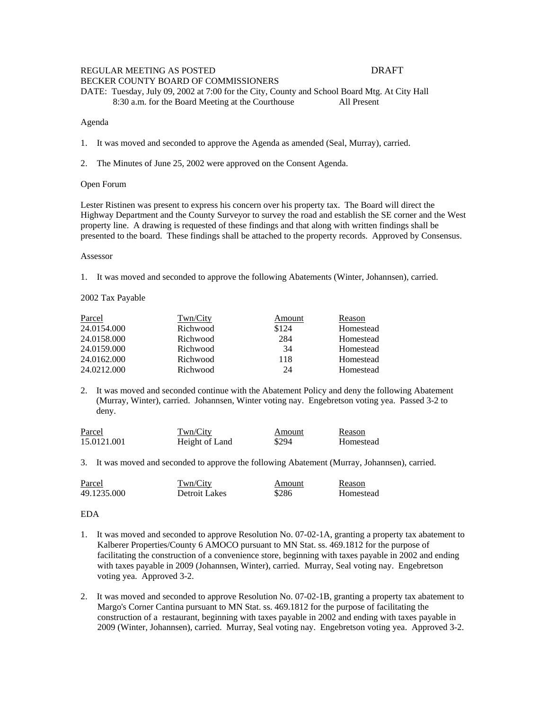# REGULAR MEETING AS POSTED DRAFT

BECKER COUNTY BOARD OF COMMISSIONERS DATE: Tuesday, July 09, 2002 at 7:00 for the City, County and School Board Mtg. At City Hall 8:30 a.m. for the Board Meeting at the Courthouse All Present

#### Agenda

1. It was moved and seconded to approve the Agenda as amended (Seal, Murray), carried.

2. The Minutes of June 25, 2002 were approved on the Consent Agenda.

#### Open Forum

Lester Ristinen was present to express his concern over his property tax. The Board will direct the Highway Department and the County Surveyor to survey the road and establish the SE corner and the West property line. A drawing is requested of these findings and that along with written findings shall be presented to the board. These findings shall be attached to the property records. Approved by Consensus.

Assessor

1. It was moved and seconded to approve the following Abatements (Winter, Johannsen), carried.

2002 Tax Payable

| Parcel      | Twn/City | Amount | Reason    |
|-------------|----------|--------|-----------|
| 24.0154.000 | Richwood | \$124  | Homestead |
| 24.0158.000 | Richwood | 284    | Homestead |
| 24.0159.000 | Richwood | 34     | Homestead |
| 24.0162.000 | Richwood | 118    | Homestead |
| 24.0212.000 | Richwood | 24     | Homestead |

2. It was moved and seconded continue with the Abatement Policy and deny the following Abatement (Murray, Winter), carried. Johannsen, Winter voting nay. Engebretson voting yea. Passed 3-2 to deny.

| Parcel      | Twn/City       | Amount | Reason    |
|-------------|----------------|--------|-----------|
| 15.0121.001 | Height of Land | \$294  | Homestead |

3. It was moved and seconded to approve the following Abatement (Murray, Johannsen), carried.

| Parcel      | Twn/City      | Amount | Reason    |
|-------------|---------------|--------|-----------|
| 49.1235.000 | Detroit Lakes | \$286  | Homestead |

EDA

- 1. It was moved and seconded to approve Resolution No. 07-02-1A, granting a property tax abatement to Kalberer Properties/County 6 AMOCO pursuant to MN Stat. ss. 469.1812 for the purpose of facilitating the construction of a convenience store, beginning with taxes payable in 2002 and ending with taxes payable in 2009 (Johannsen, Winter), carried. Murray, Seal voting nay. Engebretson voting yea. Approved 3-2.
- 2. It was moved and seconded to approve Resolution No. 07-02-1B, granting a property tax abatement to Margo's Corner Cantina pursuant to MN Stat. ss. 469.1812 for the purpose of facilitating the construction of a restaurant, beginning with taxes payable in 2002 and ending with taxes payable in 2009 (Winter, Johannsen), carried. Murray, Seal voting nay. Engebretson voting yea. Approved 3-2.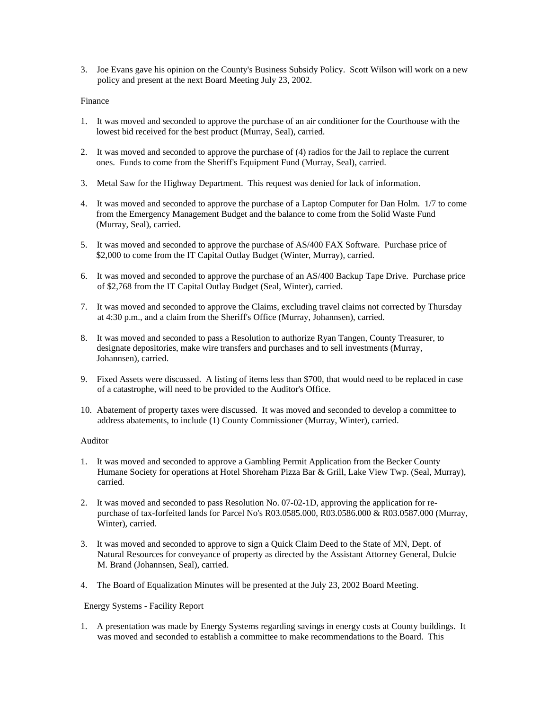3. Joe Evans gave his opinion on the County's Business Subsidy Policy. Scott Wilson will work on a new policy and present at the next Board Meeting July 23, 2002.

#### Finance

- 1. It was moved and seconded to approve the purchase of an air conditioner for the Courthouse with the lowest bid received for the best product (Murray, Seal), carried.
- 2. It was moved and seconded to approve the purchase of (4) radios for the Jail to replace the current ones. Funds to come from the Sheriff's Equipment Fund (Murray, Seal), carried.
- 3. Metal Saw for the Highway Department. This request was denied for lack of information.
- 4. It was moved and seconded to approve the purchase of a Laptop Computer for Dan Holm. 1/7 to come from the Emergency Management Budget and the balance to come from the Solid Waste Fund (Murray, Seal), carried.
- 5. It was moved and seconded to approve the purchase of AS/400 FAX Software. Purchase price of \$2,000 to come from the IT Capital Outlay Budget (Winter, Murray), carried.
- 6. It was moved and seconded to approve the purchase of an AS/400 Backup Tape Drive. Purchase price of \$2,768 from the IT Capital Outlay Budget (Seal, Winter), carried.
- 7. It was moved and seconded to approve the Claims, excluding travel claims not corrected by Thursday at 4:30 p.m., and a claim from the Sheriff's Office (Murray, Johannsen), carried.
- 8. It was moved and seconded to pass a Resolution to authorize Ryan Tangen, County Treasurer, to designate depositories, make wire transfers and purchases and to sell investments (Murray, Johannsen), carried.
- 9. Fixed Assets were discussed. A listing of items less than \$700, that would need to be replaced in case of a catastrophe, will need to be provided to the Auditor's Office.
- 10. Abatement of property taxes were discussed. It was moved and seconded to develop a committee to address abatements, to include (1) County Commissioner (Murray, Winter), carried.

### Auditor

- 1. It was moved and seconded to approve a Gambling Permit Application from the Becker County Humane Society for operations at Hotel Shoreham Pizza Bar & Grill, Lake View Twp. (Seal, Murray), carried.
- 2. It was moved and seconded to pass Resolution No. 07-02-1D, approving the application for re purchase of tax-forfeited lands for Parcel No's R03.0585.000, R03.0586.000 & R03.0587.000 (Murray, Winter), carried.
- 3. It was moved and seconded to approve to sign a Quick Claim Deed to the State of MN, Dept. of Natural Resources for conveyance of property as directed by the Assistant Attorney General, Dulcie M. Brand (Johannsen, Seal), carried.
- 4. The Board of Equalization Minutes will be presented at the July 23, 2002 Board Meeting.

### Energy Systems - Facility Report

1. A presentation was made by Energy Systems regarding savings in energy costs at County buildings. It was moved and seconded to establish a committee to make recommendations to the Board. This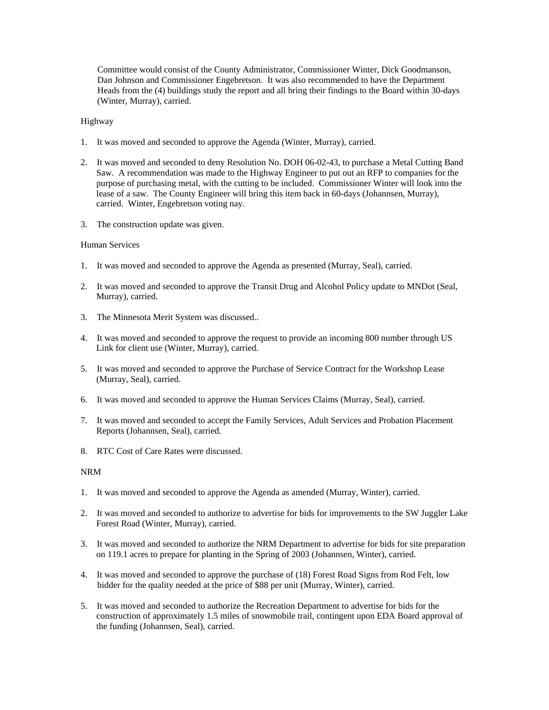Committee would consist of the County Administrator, Commissioner Winter, Dick Goodmanson, Dan Johnson and Commissioner Engebretson. It was also recommended to have the Department Heads from the (4) buildings study the report and all bring their findings to the Board within 30-days (Winter, Murray), carried.

### Highway

- 1. It was moved and seconded to approve the Agenda (Winter, Murray), carried.
- 2. It was moved and seconded to deny Resolution No. DOH 06-02-43, to purchase a Metal Cutting Band Saw. A recommendation was made to the Highway Engineer to put out an RFP to companies for the purpose of purchasing metal, with the cutting to be included. Commissioner Winter will look into the lease of a saw. The County Engineer will bring this item back in 60-days (Johannsen, Murray), carried. Winter, Engebretson voting nay.
- 3. The construction update was given.

### Human Services

- 1. It was moved and seconded to approve the Agenda as presented (Murray, Seal), carried.
- 2. It was moved and seconded to approve the Transit Drug and Alcohol Policy update to MNDot (Seal, Murray), carried.
- 3. The Minnesota Merit System was discussed..
- 4. It was moved and seconded to approve the request to provide an incoming 800 number through US Link for client use (Winter, Murray), carried.
- 5. It was moved and seconded to approve the Purchase of Service Contract for the Workshop Lease (Murray, Seal), carried.
- 6. It was moved and seconded to approve the Human Services Claims (Murray, Seal), carried.
- 7. It was moved and seconded to accept the Family Services, Adult Services and Probation Placement Reports (Johannsen, Seal), carried.
- 8. RTC Cost of Care Rates were discussed.

### NRM

- 1. It was moved and seconded to approve the Agenda as amended (Murray, Winter), carried.
- 2. It was moved and seconded to authorize to advertise for bids for improvements to the SW Juggler Lake Forest Road (Winter, Murray), carried.
- 3. It was moved and seconded to authorize the NRM Department to advertise for bids for site preparation on 119.1 acres to prepare for planting in the Spring of 2003 (Johannsen, Winter), carried.
- 4. It was moved and seconded to approve the purchase of (18) Forest Road Signs from Rod Felt, low bidder for the quality needed at the price of \$88 per unit (Murray, Winter), carried.
- 5. It was moved and seconded to authorize the Recreation Department to advertise for bids for the construction of approximately 1.5 miles of snowmobile trail, contingent upon EDA Board approval of the funding (Johannsen, Seal), carried.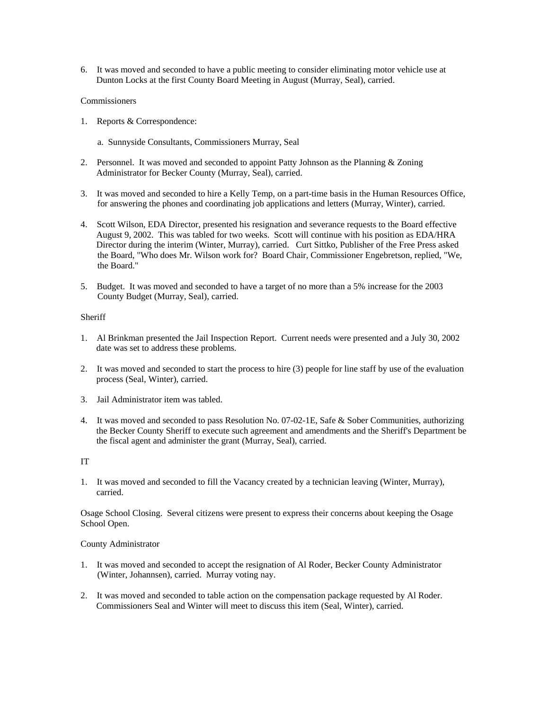6. It was moved and seconded to have a public meeting to consider eliminating motor vehicle use at Dunton Locks at the first County Board Meeting in August (Murray, Seal), carried.

# Commissioners

- 1. Reports & Correspondence:
	- a. Sunnyside Consultants, Commissioners Murray, Seal
- 2. Personnel. It was moved and seconded to appoint Patty Johnson as the Planning  $&$  Zoning Administrator for Becker County (Murray, Seal), carried.
- 3. It was moved and seconded to hire a Kelly Temp, on a part-time basis in the Human Resources Office, for answering the phones and coordinating job applications and letters (Murray, Winter), carried.
- 4. Scott Wilson, EDA Director, presented his resignation and severance requests to the Board effective August 9, 2002. This was tabled for two weeks. Scott will continue with his position as EDA/HRA Director during the interim (Winter, Murray), carried. Curt Sittko, Publisher of the Free Press asked the Board, "Who does Mr. Wilson work for? Board Chair, Commissioner Engebretson, replied, "We, the Board."
- 5. Budget. It was moved and seconded to have a target of no more than a 5% increase for the 2003 County Budget (Murray, Seal), carried.

### **Sheriff**

- 1. Al Brinkman presented the Jail Inspection Report. Current needs were presented and a July 30, 2002 date was set to address these problems.
- 2. It was moved and seconded to start the process to hire (3) people for line staff by use of the evaluation process (Seal, Winter), carried.
- 3. Jail Administrator item was tabled.
- 4. It was moved and seconded to pass Resolution No. 07-02-1E, Safe & Sober Communities, authorizing the Becker County Sheriff to execute such agreement and amendments and the Sheriff's Department be the fiscal agent and administer the grant (Murray, Seal), carried.

# IT

1. It was moved and seconded to fill the Vacancy created by a technician leaving (Winter, Murray), carried.

Osage School Closing. Several citizens were present to express their concerns about keeping the Osage School Open.

County Administrator

- 1. It was moved and seconded to accept the resignation of Al Roder, Becker County Administrator (Winter, Johannsen), carried. Murray voting nay.
- 2. It was moved and seconded to table action on the compensation package requested by Al Roder. Commissioners Seal and Winter will meet to discuss this item (Seal, Winter), carried.